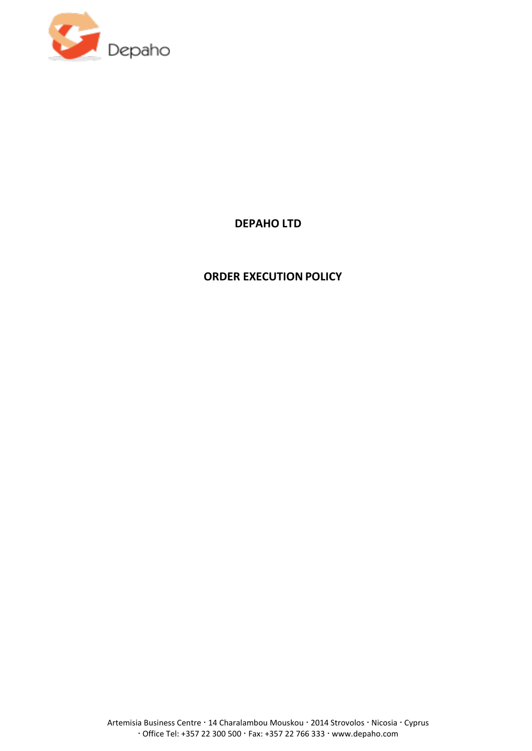

# **DEPAHO LTD**

# **ORDER EXECUTION POLICY**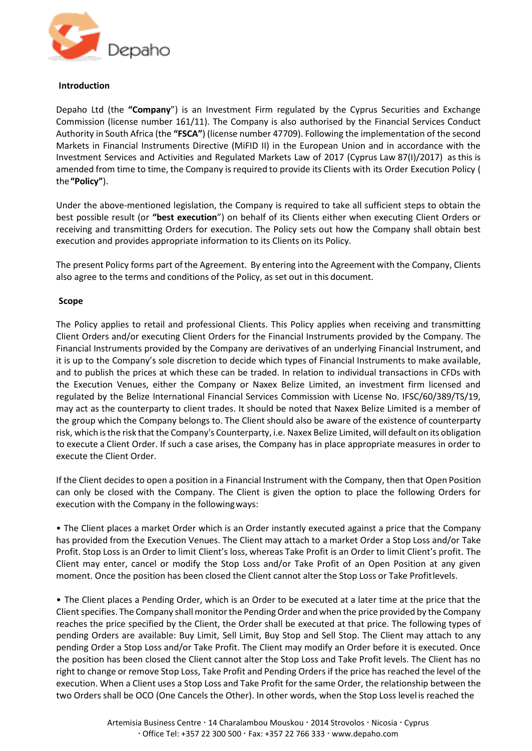

#### **Introduction**

Depaho Ltd (the **"Company**") is an Investment Firm regulated by the Cyprus Securities and Exchange Commission (license number 161/11). The Company is also authorised by the Financial Services Conduct Authority in South Africa (the **"FSCA"**) (license number 47709). Following the implementation of the second Markets in Financial Instruments Directive (MiFID II) in the European Union and in accordance with the Investment Services and Activities and Regulated Markets Law of 2017 (Cyprus Law 87(I)/2017) as this is amended from time to time, the Company is required to provide its Clients with its Order Execution Policy ( the**"Policy"**).

Under the above-mentioned legislation, the Company is required to take all sufficient steps to obtain the best possible result (or **"best execution**") on behalf of its Clients either when executing Client Orders or receiving and transmitting Orders for execution. The Policy sets out how the Company shall obtain best execution and provides appropriate information to its Clients on its Policy.

The present Policy forms part ofthe Agreement. By entering into the Agreement with the Company, Clients also agree to the terms and conditions of the Policy, as set out in this document.

# **Scope**

The Policy applies to retail and professional Clients. This Policy applies when receiving and transmitting Client Orders and/or executing Client Orders for the Financial Instruments provided by the Company. The Financial Instruments provided by the Company are derivatives of an underlying Financial Instrument, and it is up to the Company's sole discretion to decide which types of Financial Instruments to make available, and to publish the prices at which these can be traded. In relation to individual transactions in CFDs with the Execution Venues, either the Company or Naxex Belize Limited, an investment firm licensed and regulated by the Belize International Financial Services Commission with License No. IFSC/60/389/TS/19, may act as the counterparty to client trades. It should be noted that Naxex Belize Limited is a member of the group which the Company belongs to. The Client should also be aware of the existence of counterparty risk, which is the risk that the Company's Counterparty, i.e. Naxex Belize Limited, will default on its obligation to execute a Client Order. If such a case arises, the Company has in place appropriate measures in order to execute the Client Order.

If the Client decides to open a position in a Financial Instrument with the Company, then that Open Position can only be closed with the Company. The Client is given the option to place the following Orders for execution with the Company in the followingways:

• The Client places a market Order which is an Order instantly executed against a price that the Company has provided from the Execution Venues. The Client may attach to a market Order a Stop Loss and/or Take Profit. Stop Loss is an Order to limit Client's loss, whereas Take Profit is an Order to limit Client's profit. The Client may enter, cancel or modify the Stop Loss and/or Take Profit of an Open Position at any given moment. Once the position has been closed the Client cannot alter the Stop Loss or Take Profitlevels.

• The Client places a Pending Order, which is an Order to be executed at a later time at the price that the Client specifies. The Company shall monitor the Pending Order and when the price provided by the Company reaches the price specified by the Client, the Order shall be executed at that price. The following types of pending Orders are available: Buy Limit, Sell Limit, Buy Stop and Sell Stop. The Client may attach to any pending Order a Stop Loss and/or Take Profit. The Client may modify an Order before it is executed. Once the position has been closed the Client cannot alter the Stop Loss and Take Profit levels. The Client has no right to change or remove Stop Loss, Take Profit and Pending Orders if the price has reached the level of the execution. When a Client uses a Stop Loss and Take Profit for the same Order, the relationship between the two Orders shall be OCO (One Cancels the Other). In other words, when the Stop Loss level is reached the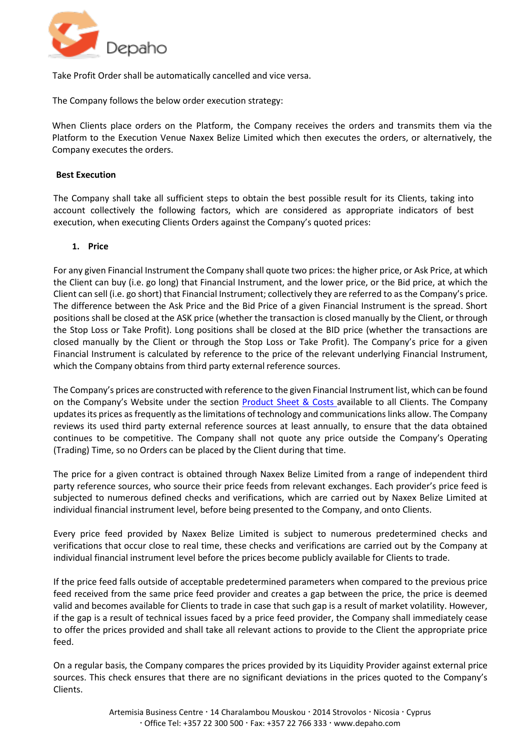

Take Profit Order shall be automatically cancelled and vice versa.

The Company follows the below order execution strategy:

When Clients place orders on the Platform, the Company receives the orders and transmits them via the Platform to the Execution Venue Naxex Belize Limited which then executes the orders, or alternatively, the Company executes the orders.

# **Best Execution**

The Company shall take all sufficient steps to obtain the best possible result for its Clients, taking into account collectively the following factors, which are considered as appropriate indicators of best execution, when executing Clients Orders against the Company's quoted prices:

# **1. Price**

For any given Financial Instrument the Company shall quote two prices: the higher price, or Ask Price, at which the Client can buy (i.e. go long) that Financial Instrument, and the lower price, or the Bid price, at which the Client can sell (i.e. go short) that Financial Instrument; collectively they are referred to as the Company's price. The difference between the Ask Price and the Bid Price of a given Financial Instrument is the spread. Short positions shall be closed at the ASK price (whether the transaction is closed manually by the Client, or through the Stop Loss or Take Profit). Long positions shall be closed at the BID price (whether the transactions are closed manually by the Client or through the Stop Loss or Take Profit). The Company's price for a given Financial Instrument is calculated by reference to the price of the relevant underlying Financial Instrument, which the Company obtains from third party external reference sources.

The Company's prices are constructed with reference to the given Financial Instrument list, which can be found on the Company's Website under the section [Product Sheet & Costs](https://www.fxgm.com/financial-products/product-sheet-costs/) available to all Clients. The Company updates its prices as frequently as the limitations of technology and communications links allow. The Company reviews its used third party external reference sources at least annually, to ensure that the data obtained continues to be competitive. The Company shall not quote any price outside the Company's Operating (Trading) Time, so no Orders can be placed by the Client during that time.

The price for a given contract is obtained through Naxex Belize Limited from a range of independent third party reference sources, who source their price feeds from relevant exchanges. Each provider's price feed is subjected to numerous defined checks and verifications, which are carried out by Naxex Belize Limited at individual financial instrument level, before being presented to the Company, and onto Clients.

Every price feed provided by Naxex Belize Limited is subject to numerous predetermined checks and verifications that occur close to real time, these checks and verifications are carried out by the Company at individual financial instrument level before the prices become publicly available for Clients to trade.

If the price feed falls outside of acceptable predetermined parameters when compared to the previous price feed received from the same price feed provider and creates a gap between the price, the price is deemed valid and becomes available for Clients to trade in case that such gap is a result of market volatility. However, if the gap is a result of technical issues faced by a price feed provider, the Company shall immediately cease to offer the prices provided and shall take all relevant actions to provide to the Client the appropriate price feed.

On a regular basis, the Company compares the prices provided by its Liquidity Provider against external price sources. This check ensures that there are no significant deviations in the prices quoted to the Company's Clients.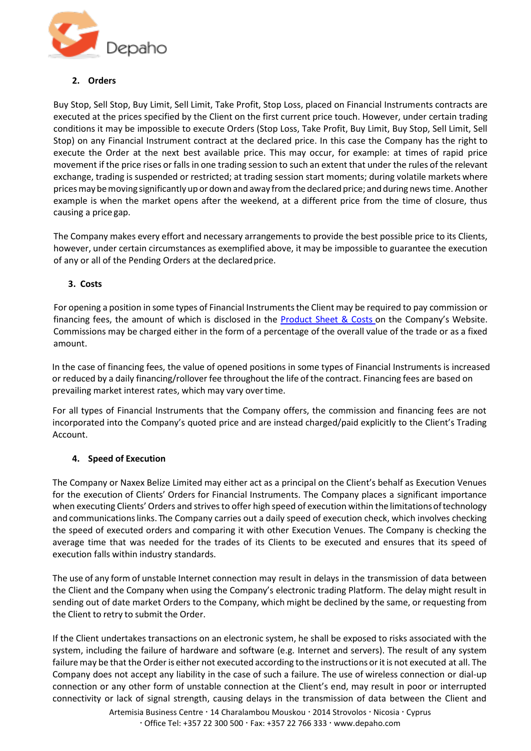

# **2. Orders**

Buy Stop, Sell Stop, Buy Limit, Sell Limit, Take Profit, Stop Loss, placed on Financial Instruments contracts are executed at the prices specified by the Client on the first current price touch. However, under certain trading conditions it may be impossible to execute Orders (Stop Loss, Take Profit, Buy Limit, Buy Stop, Sell Limit, Sell Stop) on any Financial Instrument contract at the declared price. In this case the Company has the right to execute the Order at the next best available price. This may occur, for example: at times of rapid price movement if the price rises or fallsin one trading session to such an extent that under the rules of the relevant exchange, trading is suspended or restricted; at trading session start moments; during volatile markets where pricesmay bemoving significantly upor downand away fromthe declared price; andduring news time. Another example is when the market opens after the weekend, at a different price from the time of closure, thus causing a price gap.

The Company makes every effort and necessary arrangements to provide the best possible price to its Clients, however, under certain circumstances as exemplified above, it may be impossible to guarantee the execution of any or all of the Pending Orders at the declared price.

# **3. Costs**

For opening a position in some types of Financial Instrumentsthe Client may be required to pay commission or financing fees, the amount of which is disclosed in the [Product](https://www.fxgm.com/financial-products/product-sheet-costs/) Sheet & Costs on the Company's Website. Commissions may be charged either in the form of a percentage of the overall value of the trade or as a fixed amount.

In the case of financing fees, the value of opened positions in some types of Financial Instruments is increased or reduced by a daily financing/rollover fee throughout the life of the contract. Financing fees are based on prevailing market interest rates, which may vary overtime.

For all types of Financial Instruments that the Company offers, the commission and financing fees are not incorporated into the Company's quoted price and are instead charged/paid explicitly to the Client's Trading Account.

# **4. Speed of Execution**

The Company or Naxex Belize Limited may either act as a principal on the Client's behalf as Execution Venues for the execution of Clients' Orders for Financial Instruments. The Company places a significant importance when executing Clients' Orders and strives to offer high speed of execution within the limitationsoftechnology and communicationslinks. The Company carries out a daily speed of execution check, which involves checking the speed of executed orders and comparing it with other Execution Venues. The Company is checking the average time that was needed for the trades of its Clients to be executed and ensures that its speed of execution falls within industry standards.

The use of any form of unstable Internet connection may result in delays in the transmission of data between the Client and the Company when using the Company's electronic trading Platform. The delay might result in sending out of date market Orders to the Company, which might be declined by the same, or requesting from the Client to retry to submit the Order.

If the Client undertakes transactions on an electronic system, he shall be exposed to risks associated with the system, including the failure of hardware and software (e.g. Internet and servers). The result of any system failure may be that the Order is either not executed according to the instructions or it is not executed at all. The Company does not accept any liability in the case of such a failure. The use of wireless connection or dial-up connection or any other form of unstable connection at the Client's end, may result in poor or interrupted connectivity or lack of signal strength, causing delays in the transmission of data between the Client and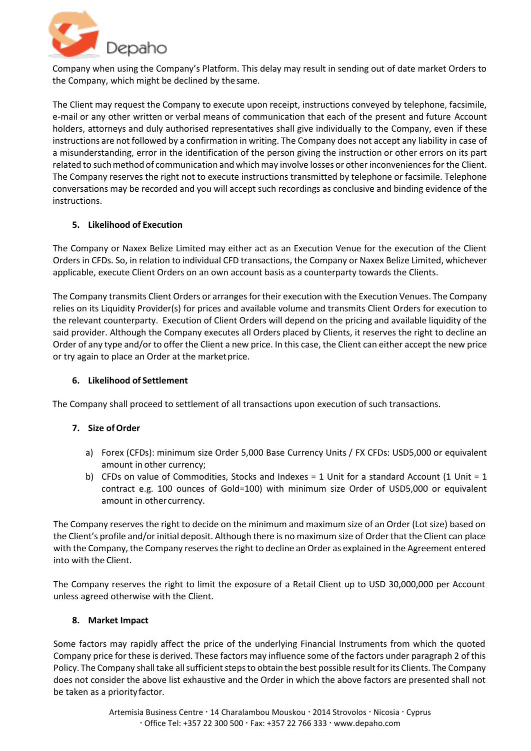

Company when using the Company's Platform. This delay may result in sending out of date market Orders to the Company, which might be declined by thesame.

The Client may request the Company to execute upon receipt, instructions conveyed by telephone, facsimile, e-mail or any other written or verbal means of communication that each of the present and future Account holders, attorneys and duly authorised representatives shall give individually to the Company, even if these instructions are not followed by a confirmation in writing. The Company does not accept any liability in case of a misunderstanding, error in the identification of the person giving the instruction or other errors on its part related to such method of communication and which may involve losses or other inconveniences for the Client. The Company reserves the right not to execute instructions transmitted by telephone or facsimile. Telephone conversations may be recorded and you will accept such recordings as conclusive and binding evidence of the instructions.

# **5. Likelihood of Execution**

The Company or Naxex Belize Limited may either act as an Execution Venue for the execution of the Client Orders in CFDs. So, in relation to individual CFD transactions, the Company or Naxex Belize Limited, whichever applicable, execute Client Orders on an own account basis as a counterparty towards the Clients.

The Company transmits Client Orders or arranges for their execution with the Execution Venues. The Company relies on its Liquidity Provider(s) for prices and available volume and transmits Client Orders for execution to the relevant counterparty. Execution of Client Orders will depend on the pricing and available liquidity of the said provider. Although the Company executes all Orders placed by Clients, it reserves the right to decline an Order of any type and/or to offer the Client a new price. In this case, the Client can either accept the new price or try again to place an Order at the market price.

# **6. Likelihood of Settlement**

The Company shall proceed to settlement of all transactions upon execution of such transactions.

# **7. Size ofOrder**

- a) Forex (CFDs): minimum size Order 5,000 Base Currency Units / FX CFDs: USD5,000 or equivalent amount in other currency;
- b) CFDs on value of Commodities, Stocks and Indexes = 1 Unit for a standard Account (1 Unit = 1 contract e.g. 100 ounces of Gold=100) with minimum size Order of USD5,000 or equivalent amount in other currency.

The Company reserves the right to decide on the minimum and maximum size of an Order (Lot size) based on the Client's profile and/or initial deposit. Although there is no maximum size of Orderthat the Client can place with the Company, the Company reservesthe right to decline an Order as explained in the Agreement entered into with the Client.

The Company reserves the right to limit the exposure of a Retail Client up to USD 30,000,000 per Account unless agreed otherwise with the Client.

# **8. Market Impact**

Some factors may rapidly affect the price of the underlying Financial Instruments from which the quoted Company price for these is derived. These factors may influence some of the factors under paragraph 2 of this Policy. The Company shall take all sufficient steps to obtain the best possible result for its Clients. The Company does not consider the above list exhaustive and the Order in which the above factors are presented shall not be taken as a priority factor.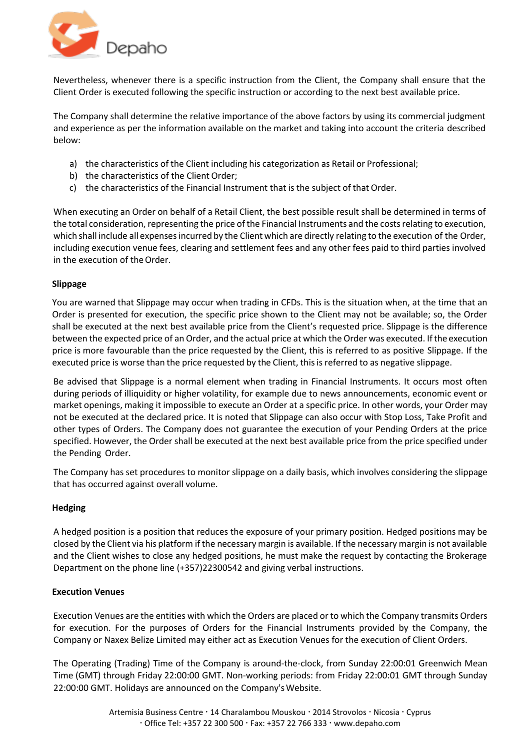

Nevertheless, whenever there is a specific instruction from the Client, the Company shall ensure that the Client Order is executed following the specific instruction or according to the next best available price.

The Company shall determine the relative importance of the above factors by using its commercial judgment and experience as per the information available on the market and taking into account the criteria described below:

- a) the characteristics of the Client including his categorization as Retail or Professional;
- b) the characteristics of the Client Order;
- c) the characteristics of the Financial Instrument that is the subject of that Order.

When executing an Order on behalf of a Retail Client, the best possible result shall be determined in terms of the total consideration, representing the price of the Financial Instruments and the costs relating to execution, which shall include all expenses incurred by the Client which are directly relating to the execution of the Order, including execution venue fees, clearing and settlement fees and any other fees paid to third parties involved in the execution of the Order.

# **Slippage**

You are warned that Slippage may occur when trading in CFDs. This is the situation when, at the time that an Order is presented for execution, the specific price shown to the Client may not be available; so, the Order shall be executed at the next best available price from the Client's requested price. Slippage is the difference between the expected price of an Order, and the actual price at which the Order was executed. Ifthe execution price is more favourable than the price requested by the Client, this is referred to as positive Slippage. If the executed price is worse than the price requested by the Client, thisis referred to as negative slippage.

Be advised that Slippage is a normal element when trading in Financial Instruments. It occurs most often during periods of illiquidity or higher volatility, for example due to news announcements, economic event or market openings, making it impossible to execute an Order at a specific price. In other words, your Order may not be executed at the declared price. It is noted that Slippage can also occur with Stop Loss, Take Profit and other types of Orders. The Company does not guarantee the execution of your Pending Orders at the price specified. However, the Order shall be executed at the next best available price from the price specified under the Pending Order.

The Company has set procedures to monitor slippage on a daily basis, which involves considering the slippage that has occurred against overall volume.

# **Hedging**

A hedged position is a position that reduces the exposure of your primary position. Hedged positions may be closed by the Client via his platform if the necessary margin is available. If the necessary margin is not available and the Client wishes to close any hedged positions, he must make the request by contacting the Brokerage Department on the phone line (+357)22300542 and giving verbal instructions.

# **Execution Venues**

Execution Venues are the entities with which the Orders are placed or to which the Company transmits Orders for execution. For the purposes of Orders for the Financial Instruments provided by the Company, the Company or Naxex Belize Limited may either act as Execution Venues for the execution of Client Orders.

The Operating (Trading) Time of the Company is around-the-clock, from Sunday 22:00:01 Greenwich Mean Time (GMT) through Friday 22:00:00 GMT. Non-working periods: from Friday 22:00:01 GMT through Sunday 22:00:00 GMT. Holidays are announced on the Company's Website.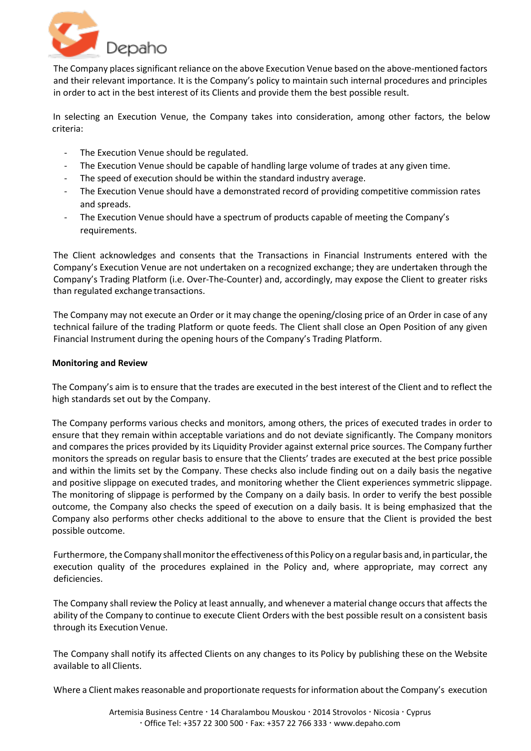

The Company places significant reliance on the above Execution Venue based on the above-mentioned factors and their relevant importance. It is the Company's policy to maintain such internal procedures and principles in order to act in the best interest of its Clients and provide them the best possible result.

 In selecting an Execution Venue, the Company takes into consideration, among other factors, the below criteria:

- The Execution Venue should be regulated.
- The Execution Venue should be capable of handling large volume of trades at any given time.
- The speed of execution should be within the standard industry average.
- The Execution Venue should have a demonstrated record of providing competitive commission rates and spreads.
- The Execution Venue should have a spectrum of products capable of meeting the Company's requirements.

The Client acknowledges and consents that the Transactions in Financial Instruments entered with the Company's Execution Venue are not undertaken on a recognized exchange; they are undertaken through the Company's Trading Platform (i.e. Over-The-Counter) and, accordingly, may expose the Client to greater risks than regulated exchange transactions.

The Company may not execute an Order or it may change the opening/closing price of an Order in case of any technical failure of the trading Platform or quote feeds. The Client shall close an Open Position of any given Financial Instrument during the opening hours of the Company's Trading Platform.

# **Monitoring and Review**

The Company's aim is to ensure that the trades are executed in the best interest of the Client and to reflect the high standards set out by the Company.

The Company performs various checks and monitors, among others, the prices of executed trades in order to ensure that they remain within acceptable variations and do not deviate significantly. The Company monitors and compares the prices provided by its Liquidity Provider against external price sources. The Company further monitors the spreads on regular basis to ensure that the Clients' trades are executed at the best price possible and within the limits set by the Company. These checks also include finding out on a daily basis the negative and positive slippage on executed trades, and monitoring whether the Client experiences symmetric slippage. The monitoring of slippage is performed by the Company on a daily basis. In order to verify the best possible outcome, the Company also checks the speed of execution on a daily basis. It is being emphasized that the Company also performs other checks additional to the above to ensure that the Client is provided the best possible outcome.

Furthermore, the Company shall monitor the effectiveness of this Policy on a regular basis and, in particular, the execution quality of the procedures explained in the Policy and, where appropriate, may correct any deficiencies.

The Company shall review the Policy at least annually, and whenever a material change occurs that affects the ability of the Company to continue to execute Client Orders with the best possible result on a consistent basis through its Execution Venue.

The Company shall notify its affected Clients on any changes to its Policy by publishing these on the Website available to all Clients.

Where a Client makes reasonable and proportionate requests for information about the Company's execution